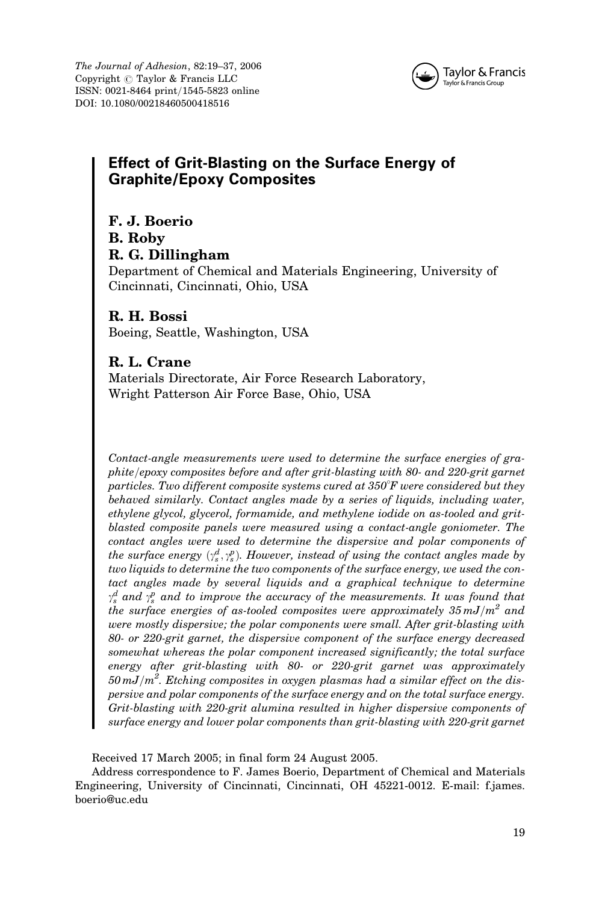The Journal of Adhesion, 82:19–37, 2006 Copyright  $\odot$  Taylor & Francis LLC ISSN: 0021-8464 print/1545-5823 online DOI: 10.1080/00218460500418516



# Effect of Grit-Blasting on the Surface Energy of Graphite/Epoxy Composites

F. J. Boerio B. Roby R. G. Dillingham

Department of Chemical and Materials Engineering, University of Cincinnati, Cincinnati, Ohio, USA

R. H. Bossi Boeing, Seattle, Washington, USA

R. L. Crane Materials Directorate, Air Force Research Laboratory, Wright Patterson Air Force Base, Ohio, USA

Contact-angle measurements were used to determine the surface energies of graphite/epoxy composites before and after grit-blasting with 80- and 220-grit garnet particles. Two different composite systems cured at  $350^{\circ}F$  were considered but they behaved similarly. Contact angles made by a series of liquids, including water, ethylene glycol, glycerol, formamide, and methylene iodide on as-tooled and gritblasted composite panels were measured using a contact-angle goniometer. The contact angles were used to determine the dispersive and polar components of the surface energy  $(\gamma_s^d, \gamma_s^p)$ . However, instead of using the contact angles made by two liquids to determine the two components of the surface energy, we used the contact angles made by several liquids and a graphical technique to determine  $\gamma_s^d$  and  $\gamma_s^p$  and to improve the accuracy of the measurements. It was found that the surface energies of as-tooled composites were approximately  $35 \text{ }\mathrm{mJ/m^2}$  and were mostly dispersive; the polar components were small. After grit-blasting with 80- or 220-grit garnet, the dispersive component of the surface energy decreased somewhat whereas the polar component increased significantly; the total surface energy after grit-blasting with 80- or 220-grit garnet was approximately  $50\, mJ/m^2.$  Etching composites in oxygen plasmas had a similar effect on the dispersive and polar components of the surface energy and on the total surface energy. Grit-blasting with 220-grit alumina resulted in higher dispersive components of surface energy and lower polar components than grit-blasting with 220-grit garnet

Received 17 March 2005; in final form 24 August 2005.

Address correspondence to F. James Boerio, Department of Chemical and Materials Engineering, University of Cincinnati, Cincinnati, OH 45221-0012. E-mail: f.james. boerio@uc.edu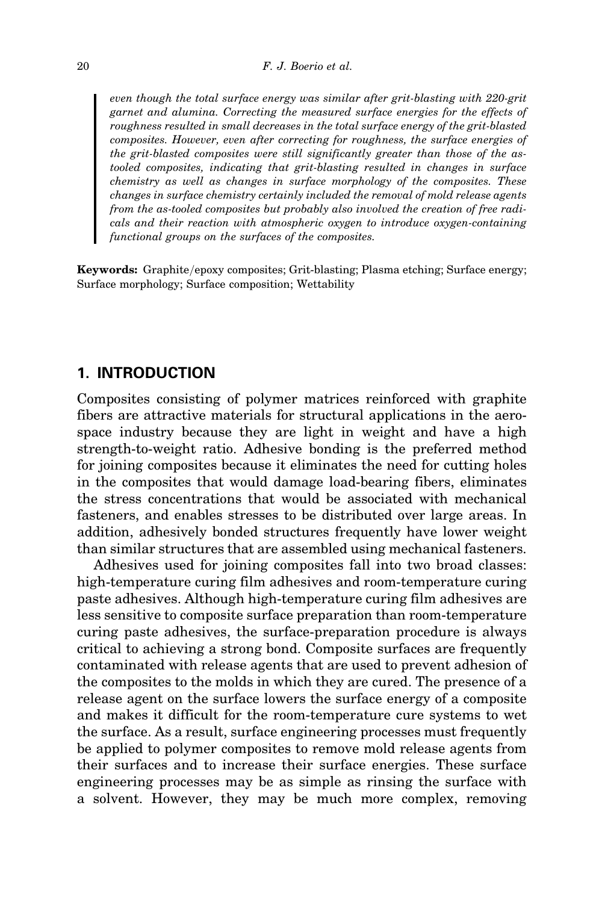even though the total surface energy was similar after grit-blasting with 220-grit garnet and alumina. Correcting the measured surface energies for the effects of roughness resulted in small decreases in the total surface energy of the grit-blasted composites. However, even after correcting for roughness, the surface energies of the grit-blasted composites were still significantly greater than those of the astooled composites, indicating that grit-blasting resulted in changes in surface chemistry as well as changes in surface morphology of the composites. These changes in surface chemistry certainly included the removal of mold release agents from the as-tooled composites but probably also involved the creation of free radicals and their reaction with atmospheric oxygen to introduce oxygen-containing functional groups on the surfaces of the composites.

Keywords: Graphite/epoxy composites; Grit-blasting; Plasma etching; Surface energy; Surface morphology; Surface composition; Wettability

#### 1. INTRODUCTION

Composites consisting of polymer matrices reinforced with graphite fibers are attractive materials for structural applications in the aerospace industry because they are light in weight and have a high strength-to-weight ratio. Adhesive bonding is the preferred method for joining composites because it eliminates the need for cutting holes in the composites that would damage load-bearing fibers, eliminates the stress concentrations that would be associated with mechanical fasteners, and enables stresses to be distributed over large areas. In addition, adhesively bonded structures frequently have lower weight than similar structures that are assembled using mechanical fasteners.

Adhesives used for joining composites fall into two broad classes: high-temperature curing film adhesives and room-temperature curing paste adhesives. Although high-temperature curing film adhesives are less sensitive to composite surface preparation than room-temperature curing paste adhesives, the surface-preparation procedure is always critical to achieving a strong bond. Composite surfaces are frequently contaminated with release agents that are used to prevent adhesion of the composites to the molds in which they are cured. The presence of a release agent on the surface lowers the surface energy of a composite and makes it difficult for the room-temperature cure systems to wet the surface. As a result, surface engineering processes must frequently be applied to polymer composites to remove mold release agents from their surfaces and to increase their surface energies. These surface engineering processes may be as simple as rinsing the surface with a solvent. However, they may be much more complex, removing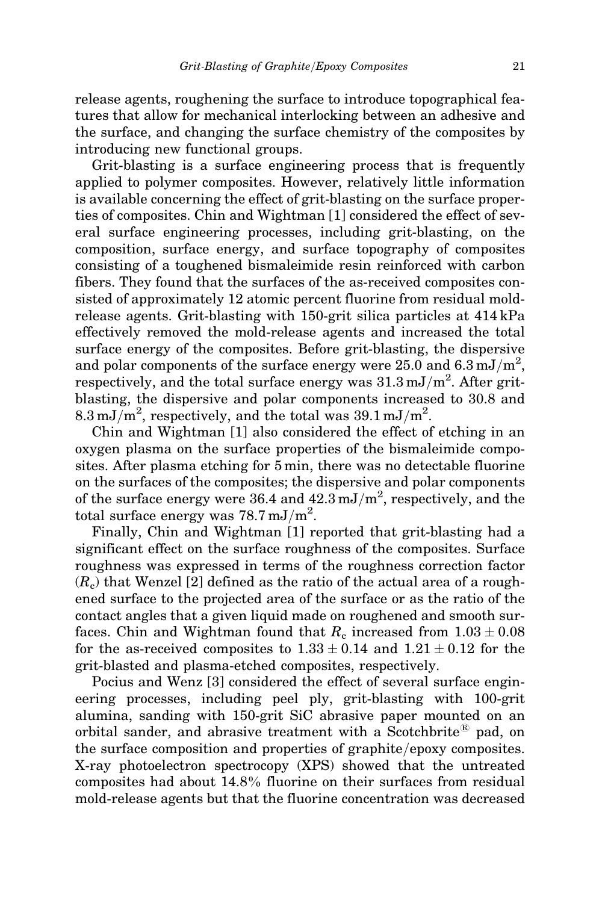release agents, roughening the surface to introduce topographical features that allow for mechanical interlocking between an adhesive and the surface, and changing the surface chemistry of the composites by introducing new functional groups.

Grit-blasting is a surface engineering process that is frequently applied to polymer composites. However, relatively little information is available concerning the effect of grit-blasting on the surface properties of composites. Chin and Wightman [1] considered the effect of several surface engineering processes, including grit-blasting, on the composition, surface energy, and surface topography of composites consisting of a toughened bismaleimide resin reinforced with carbon fibers. They found that the surfaces of the as-received composites consisted of approximately 12 atomic percent fluorine from residual moldrelease agents. Grit-blasting with 150-grit silica particles at 414 kPa effectively removed the mold-release agents and increased the total surface energy of the composites. Before grit-blasting, the dispersive and polar components of the surface energy were 25.0 and 6.3 mJ/m<sup>2</sup>, respectively, and the total surface energy was  $31.3 \text{ mJ/m}^2$ . After gritblasting, the dispersive and polar components increased to 30.8 and 8.3 mJ/m<sup>2</sup>, respectively, and the total was  $39.1 \,\mathrm{mJ/m^2}$ .

Chin and Wightman [1] also considered the effect of etching in an oxygen plasma on the surface properties of the bismaleimide composites. After plasma etching for 5 min, there was no detectable fluorine on the surfaces of the composites; the dispersive and polar components of the surface energy were 36.4 and  $42.3 \text{ mJ/m}^2$ , respectively, and the total surface energy was  $78.7 \,\mathrm{mJ/m^2}$ .

Finally, Chin and Wightman [1] reported that grit-blasting had a significant effect on the surface roughness of the composites. Surface roughness was expressed in terms of the roughness correction factor  $(R_c)$  that Wenzel [2] defined as the ratio of the actual area of a roughened surface to the projected area of the surface or as the ratio of the contact angles that a given liquid made on roughened and smooth surfaces. Chin and Wightman found that  $R_{\rm c}$  increased from  $1.03\pm0.08$ for the as-received composites to  $1.33 \pm 0.14$  and  $1.21 \pm 0.12$  for the grit-blasted and plasma-etched composites, respectively.

Pocius and Wenz [3] considered the effect of several surface engineering processes, including peel ply, grit-blasting with 100-grit alumina, sanding with 150-grit SiC abrasive paper mounted on an orbital sander, and abrasive treatment with a Scotchbrite<sup>®</sup> pad, on the surface composition and properties of graphite/epoxy composites. X-ray photoelectron spectrocopy (XPS) showed that the untreated composites had about 14.8% fluorine on their surfaces from residual mold-release agents but that the fluorine concentration was decreased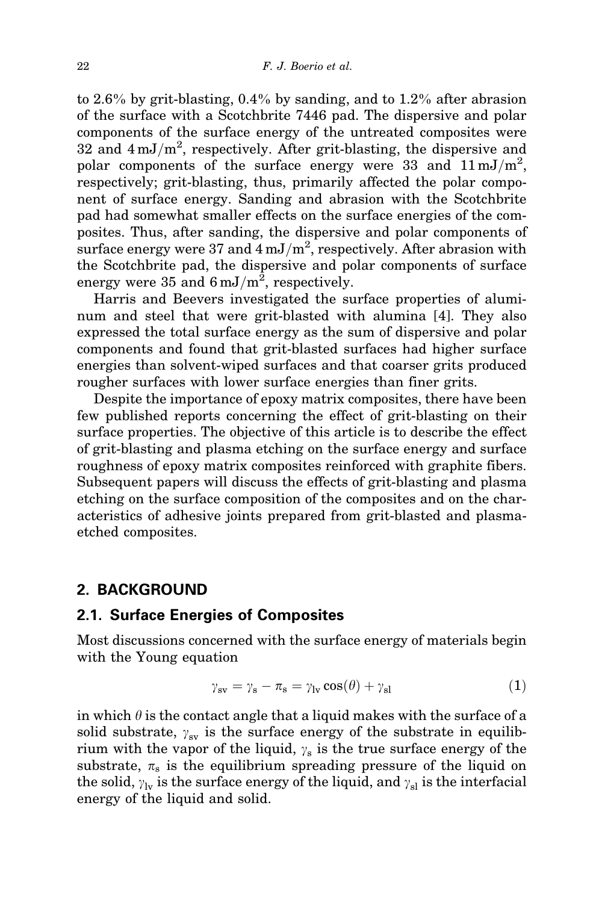to 2.6% by grit-blasting, 0.4% by sanding, and to 1.2% after abrasion of the surface with a Scotchbrite 7446 pad. The dispersive and polar components of the surface energy of the untreated composites were 32 and  $4 \text{ mJ/m}^2$ , respectively. After grit-blasting, the dispersive and polar components of the surface energy were 33 and  $11 \text{ mJ/m}^2$ , respectively; grit-blasting, thus, primarily affected the polar component of surface energy. Sanding and abrasion with the Scotchbrite pad had somewhat smaller effects on the surface energies of the composites. Thus, after sanding, the dispersive and polar components of surface energy were 37 and  $4\,\mathrm{mJ/m^2}$ , respectively. After abrasion with the Scotchbrite pad, the dispersive and polar components of surface energy were 35 and  $6 \,\mathrm{mJ/m}^2$ , respectively.

Harris and Beevers investigated the surface properties of aluminum and steel that were grit-blasted with alumina [4]. They also expressed the total surface energy as the sum of dispersive and polar components and found that grit-blasted surfaces had higher surface energies than solvent-wiped surfaces and that coarser grits produced rougher surfaces with lower surface energies than finer grits.

Despite the importance of epoxy matrix composites, there have been few published reports concerning the effect of grit-blasting on their surface properties. The objective of this article is to describe the effect of grit-blasting and plasma etching on the surface energy and surface roughness of epoxy matrix composites reinforced with graphite fibers. Subsequent papers will discuss the effects of grit-blasting and plasma etching on the surface composition of the composites and on the characteristics of adhesive joints prepared from grit-blasted and plasmaetched composites.

#### 2. BACKGROUND

## 2.1. Surface Energies of Composites

Most discussions concerned with the surface energy of materials begin with the Young equation

$$
\gamma_{\rm sv} = \gamma_{\rm s} - \pi_{\rm s} = \gamma_{\rm lv} \cos(\theta) + \gamma_{\rm sl} \tag{1}
$$

in which  $\theta$  is the contact angle that a liquid makes with the surface of a solid substrate,  $\gamma_{\rm sv}$  is the surface energy of the substrate in equilibrium with the vapor of the liquid,  $\gamma_s$  is the true surface energy of the substrate,  $\pi_s$  is the equilibrium spreading pressure of the liquid on the solid,  $\gamma_{\text{lv}}$  is the surface energy of the liquid, and  $\gamma_{\text{sl}}$  is the interfacial energy of the liquid and solid.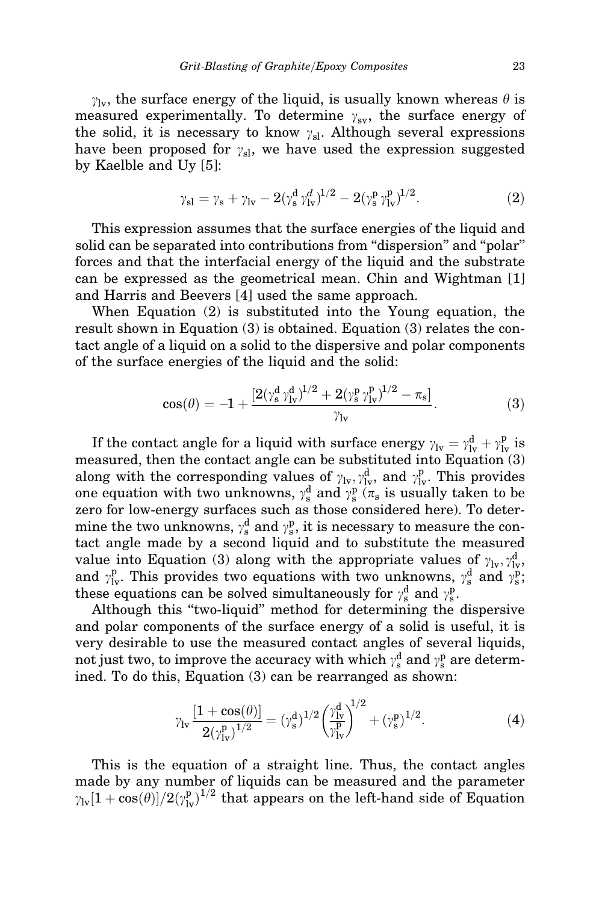$\gamma_{\text{lv}}$ , the surface energy of the liquid, is usually known whereas  $\theta$  is measured experimentally. To determine  $\gamma_{\rm sv}$ , the surface energy of the solid, it is necessary to know  $\gamma_{sl}$ . Although several expressions have been proposed for  $\gamma_{sl}$ , we have used the expression suggested by Kaelble and Uy [5]:

$$
\gamma_{\rm sl} = \gamma_{\rm s} + \gamma_{\rm lv} - 2(\gamma_{\rm s}^{\rm d} \gamma_{\rm ly}^{\rm d})^{1/2} - 2(\gamma_{\rm s}^{\rm p} \gamma_{\rm ly}^{\rm p})^{1/2}.
$$
 (2)

This expression assumes that the surface energies of the liquid and solid can be separated into contributions from "dispersion" and "polar" forces and that the interfacial energy of the liquid and the substrate can be expressed as the geometrical mean. Chin and Wightman [1] and Harris and Beevers [4] used the same approach.

When Equation (2) is substituted into the Young equation, the result shown in Equation (3) is obtained. Equation (3) relates the contact angle of a liquid on a solid to the dispersive and polar components of the surface energies of the liquid and the solid:

$$
\cos(\theta) = -1 + \frac{\left[2(\gamma_{\rm s}^{\rm d}\gamma_{\rm ly}^{\rm d})^{1/2} + 2(\gamma_{\rm s}^{\rm p}\gamma_{\rm ly}^{\rm p})^{1/2} - \pi_{\rm s}\right]}{\gamma_{\rm ly}}.\tag{3}
$$

If the contact angle for a liquid with surface energy  $\gamma_{lv} = \gamma_{lv}^d + \gamma_{lv}^p$  is measured, then the contact angle can be substituted into Equation (3) along with the corresponding values of  $\gamma_{lv}, \gamma_{lv}^d$ , and  $\gamma_{lv}^p$ . This provides one equation with two unknowns,  $\gamma_{\rm s}^{\rm d}$  and  $\gamma_{\rm s}^{\rm p}$  ( $\pi_{\rm s}$  is usually taken to be zero for low-energy surfaces such as those considered here). To determine the two unknowns,  $\gamma_{\rm s}^{\rm d}$  and  $\gamma_{\rm s}^{\rm p}$ , it is necessary to measure the contact angle made by a second liquid and to substitute the measured value into Equation (3) along with the appropriate values of  $\gamma_{\text{lv}}, \gamma_{\text{lv}}^{\text{d}}$ and  $\gamma_{\rm lv}^{\rm p}$ . This provides two equations with two unknowns,  $\gamma_{\rm s}^{\rm d}$  and  $\gamma_{\rm s}^{\rm p}$ ; these equations can be solved simultaneously for  $\gamma_{s}^{d}$  and  $\gamma_{s}^{p}$ .

Although this "two-liquid" method for determining the dispersive and polar components of the surface energy of a solid is useful, it is very desirable to use the measured contact angles of several liquids, not just two, to improve the accuracy with which  $\gamma_{\rm s}^{\rm d}$  and  $\gamma_{\rm s}^{\rm p}$  are determined. To do this, Equation (3) can be rearranged as shown:

$$
\gamma_{lv}\frac{[1+\cos(\theta)]}{2{(\gamma_{lv}^p)}^{1/2}}= {(\gamma_s^d)}^{1/2}\bigg(\frac{\gamma_{lv}^d}{\gamma_{lv}^p}\bigg)^{\!\!1/2}+{(\gamma_s^p)}^{1/2}.\ \ \hspace{1.5cm} (4)
$$

 $1/2$ 

This is the equation of a straight line. Thus, the contact angles made by any number of liquids can be measured and the parameter  $\gamma_{\rm lv}[1+\cos(\theta)]/2(\gamma_{\rm lv}^{\rm p})^{1/2}$  that appears on the left-hand side of Equation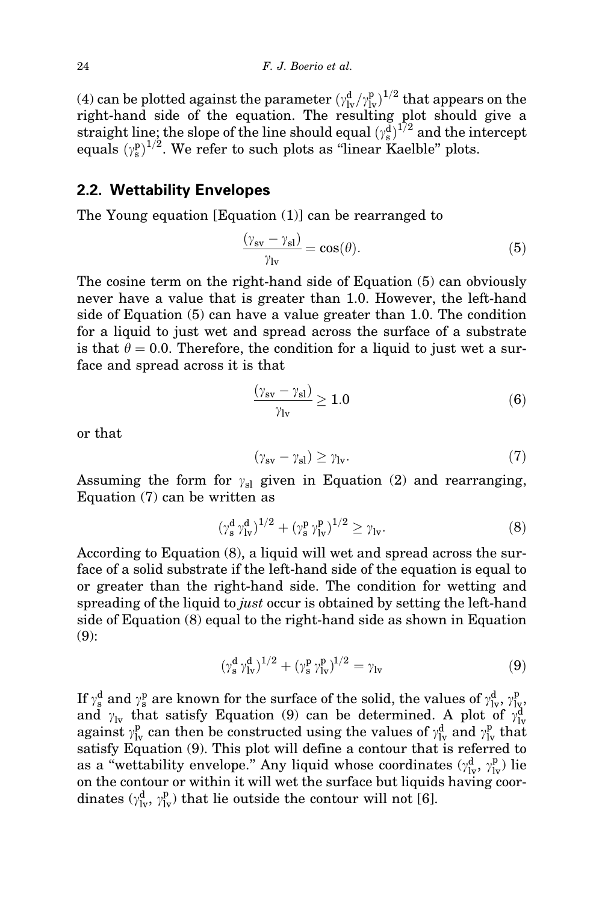(4) can be plotted against the parameter  $(\gamma_{\rm ly}^{\rm d}/\gamma_{\rm ly}^{\rm p})^{1/2}$  that appears on the right-hand side of the equation. The resulting plot should give a straight line; the slope of the line should equal  $(\gamma_s^{\bar{d}})^{1/2}$  and the intercept equals  $(\gamma_s^p)^{1/2}$ . We refer to such plots as "linear Kaelble" plots.

#### 2.2. Wettability Envelopes

The Young equation [Equation (1)] can be rearranged to

$$
\frac{(\gamma_{\rm sv} - \gamma_{\rm sl})}{\gamma_{\rm ly}} = \cos(\theta). \tag{5}
$$

The cosine term on the right-hand side of Equation (5) can obviously never have a value that is greater than 1.0. However, the left-hand side of Equation (5) can have a value greater than 1.0. The condition for a liquid to just wet and spread across the surface of a substrate is that  $\theta = 0.0$ . Therefore, the condition for a liquid to just wet a surface and spread across it is that

$$
\frac{(\gamma_{\rm sv} - \gamma_{\rm sl})}{\gamma_{\rm ly}} \ge 1.0\tag{6}
$$

or that

$$
(\gamma_{\rm sv} - \gamma_{\rm sl}) \ge \gamma_{\rm lv}.\tag{7}
$$

Assuming the form for  $\gamma_{sl}$  given in Equation (2) and rearranging, Equation (7) can be written as

$$
(\gamma_{\rm s}^{\rm d} \gamma_{\rm ly}^{\rm d})^{1/2} + (\gamma_{\rm s}^{\rm p} \gamma_{\rm ly}^{\rm p})^{1/2} \ge \gamma_{\rm ly}.
$$
 (8)

According to Equation (8), a liquid will wet and spread across the surface of a solid substrate if the left-hand side of the equation is equal to or greater than the right-hand side. The condition for wetting and spreading of the liquid to *just* occur is obtained by setting the left-hand side of Equation (8) equal to the right-hand side as shown in Equation (9):

$$
(\gamma_s^d \gamma_{lv}^d)^{1/2} + (\gamma_s^p \gamma_{lv}^p)^{1/2} = \gamma_{lv}
$$
 (9)

If  $\gamma_{\rm s}^{\rm d}$  and  $\gamma_{\rm s}^{\rm p}$  are known for the surface of the solid, the values of  $\gamma_{\rm ly}^{\rm d}$ ,  $\gamma_{\rm ly}^{\rm p}$ , and  $\gamma_{\rm lv}$  that satisfy Equation (9) can be determined. A plot of  $\gamma_{\rm lv}^{\rm d}$ against  $\gamma_{\text{lv}}^{\text{p}}$  can then be constructed using the values of  $\gamma_{\text{lv}}^{\text{d}}$  and  $\gamma_{\text{lv}}^{\text{p}}$  that satisfy Equation (9). This plot will define a contour that is referred to as a "wettability envelope." Any liquid whose coordinates  $(\gamma^d_{lv}, \gamma^p_{lv})$  lie on the contour or within it will wet the surface but liquids having coordinates  $(\gamma^d_{\text{lv}}, \gamma^p_{\text{lv}})$  that lie outside the contour will not [6].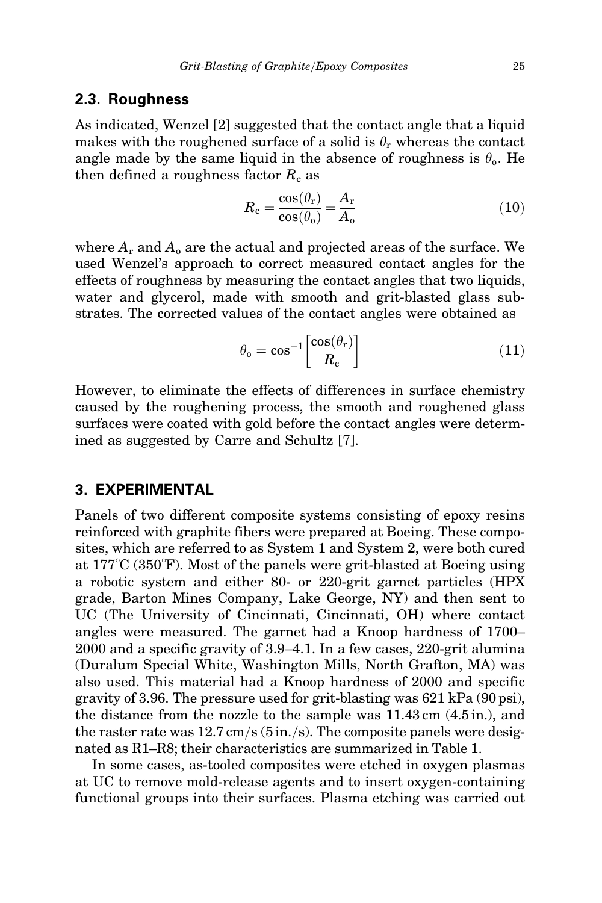#### 2.3. Roughness

As indicated, Wenzel [2] suggested that the contact angle that a liquid makes with the roughened surface of a solid is  $\theta_r$  whereas the contact angle made by the same liquid in the absence of roughness is  $\theta_0$ . He then defined a roughness factor  $R_c$  as

$$
R_c = \frac{\cos(\theta_r)}{\cos(\theta_o)} = \frac{A_r}{A_o} \tag{10}
$$

where  $A_r$  and  $A_o$  are the actual and projected areas of the surface. We used Wenzel's approach to correct measured contact angles for the effects of roughness by measuring the contact angles that two liquids, water and glycerol, made with smooth and grit-blasted glass substrates. The corrected values of the contact angles were obtained as

$$
\theta_{\rm o} = \cos^{-1} \left[ \frac{\cos(\theta_{\rm r})}{R_{\rm c}} \right] \tag{11}
$$

However, to eliminate the effects of differences in surface chemistry caused by the roughening process, the smooth and roughened glass surfaces were coated with gold before the contact angles were determined as suggested by Carre and Schultz [7].

### 3. EXPERIMENTAL

Panels of two different composite systems consisting of epoxy resins reinforced with graphite fibers were prepared at Boeing. These composites, which are referred to as System 1 and System 2, were both cured at 177 C (350 F). Most of the panels were grit-blasted at Boeing using a robotic system and either 80- or 220-grit garnet particles (HPX grade, Barton Mines Company, Lake George, NY) and then sent to UC (The University of Cincinnati, Cincinnati, OH) where contact angles were measured. The garnet had a Knoop hardness of 1700– 2000 and a specific gravity of 3.9–4.1. In a few cases, 220-grit alumina (Duralum Special White, Washington Mills, North Grafton, MA) was also used. This material had a Knoop hardness of 2000 and specific gravity of 3.96. The pressure used for grit-blasting was 621 kPa (90 psi), the distance from the nozzle to the sample was 11.43 cm (4.5 in.), and the raster rate was  $12.7 \text{ cm/s}$  (5 in./s). The composite panels were designated as R1–R8; their characteristics are summarized in Table 1.

In some cases, as-tooled composites were etched in oxygen plasmas at UC to remove mold-release agents and to insert oxygen-containing functional groups into their surfaces. Plasma etching was carried out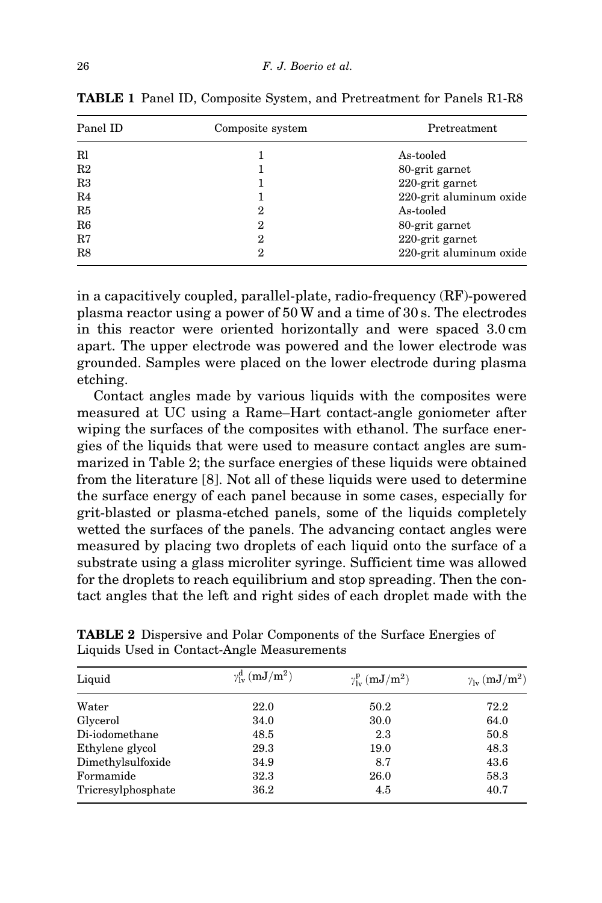| Panel ID       | Composite system | Pretreatment            |
|----------------|------------------|-------------------------|
| Rl             |                  | As-tooled               |
| R2             |                  | 80-grit garnet          |
| R3             |                  | 220-grit garnet         |
| R <sub>4</sub> |                  | 220-grit aluminum oxide |
| R5             | $\overline{2}$   | As-tooled               |
| R6             | $\overline{2}$   | 80-grit garnet          |
| R7             | $\overline{2}$   | 220-grit garnet         |
| R <sub>8</sub> | $\overline{2}$   | 220-grit aluminum oxide |

TABLE 1 Panel ID, Composite System, and Pretreatment for Panels R1-R8

in a capacitively coupled, parallel-plate, radio-frequency (RF)-powered plasma reactor using a power of 50 W and a time of 30 s. The electrodes in this reactor were oriented horizontally and were spaced 3.0 cm apart. The upper electrode was powered and the lower electrode was grounded. Samples were placed on the lower electrode during plasma etching.

Contact angles made by various liquids with the composites were measured at UC using a Rame–Hart contact-angle goniometer after wiping the surfaces of the composites with ethanol. The surface energies of the liquids that were used to measure contact angles are summarized in Table 2; the surface energies of these liquids were obtained from the literature [8]. Not all of these liquids were used to determine the surface energy of each panel because in some cases, especially for grit-blasted or plasma-etched panels, some of the liquids completely wetted the surfaces of the panels. The advancing contact angles were measured by placing two droplets of each liquid onto the surface of a substrate using a glass microliter syringe. Sufficient time was allowed for the droplets to reach equilibrium and stop spreading. Then the contact angles that the left and right sides of each droplet made with the

| Liquid             | $\gamma_{\rm{lv}}^{\rm{d}}\,(\rm{mJ}/\rm{m}^2)$ | $\gamma_{\rm br}^{\rm p}$ (mJ/m <sup>2</sup> ) | $\gamma_{\rm lv}$ (mJ/m <sup>2</sup> ) |
|--------------------|-------------------------------------------------|------------------------------------------------|----------------------------------------|
| Water              | 22.0                                            | 50.2                                           | 72.2                                   |
| Glycerol           | 34.0                                            | 30.0                                           | 64.0                                   |
| Di-iodomethane     | 48.5                                            | 2.3                                            | 50.8                                   |
| Ethylene glycol    | 29.3                                            | 19.0                                           | 48.3                                   |
| Dimethylsulfoxide  | 34.9                                            | 8.7                                            | 43.6                                   |
| Formamide          | 32.3                                            | 26.0                                           | 58.3                                   |
| Tricresylphosphate | 36.2                                            | 4.5                                            | 40.7                                   |

TABLE 2 Dispersive and Polar Components of the Surface Energies of Liquids Used in Contact-Angle Measurements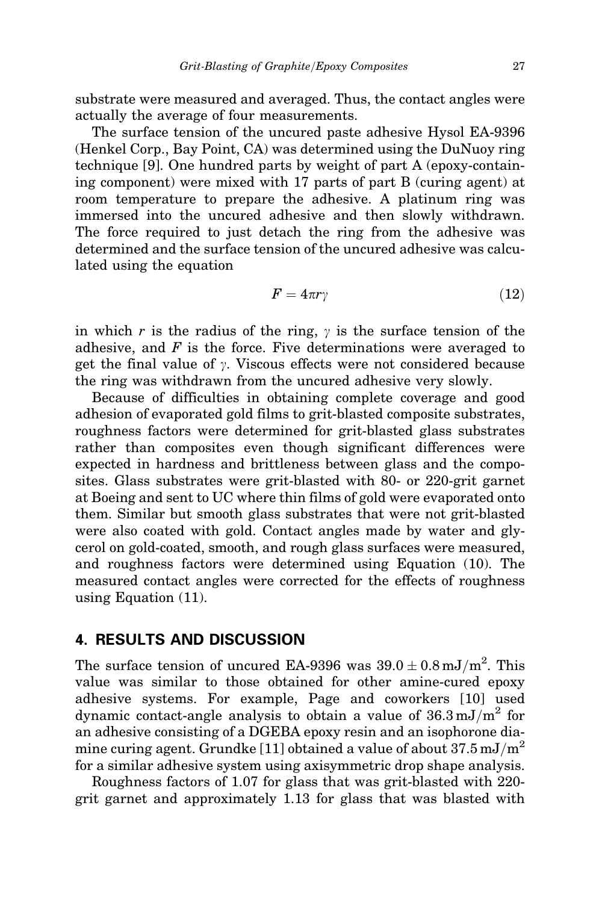substrate were measured and averaged. Thus, the contact angles were actually the average of four measurements.

The surface tension of the uncured paste adhesive Hysol EA-9396 (Henkel Corp., Bay Point, CA) was determined using the DuNuoy ring technique [9]. One hundred parts by weight of part A (epoxy-containing component) were mixed with 17 parts of part B (curing agent) at room temperature to prepare the adhesive. A platinum ring was immersed into the uncured adhesive and then slowly withdrawn. The force required to just detach the ring from the adhesive was determined and the surface tension of the uncured adhesive was calculated using the equation

$$
F = 4\pi r\gamma \tag{12}
$$

in which r is the radius of the ring,  $\gamma$  is the surface tension of the adhesive, and  $F$  is the force. Five determinations were averaged to get the final value of  $\gamma$ . Viscous effects were not considered because the ring was withdrawn from the uncured adhesive very slowly.

Because of difficulties in obtaining complete coverage and good adhesion of evaporated gold films to grit-blasted composite substrates, roughness factors were determined for grit-blasted glass substrates rather than composites even though significant differences were expected in hardness and brittleness between glass and the composites. Glass substrates were grit-blasted with 80- or 220-grit garnet at Boeing and sent to UC where thin films of gold were evaporated onto them. Similar but smooth glass substrates that were not grit-blasted were also coated with gold. Contact angles made by water and glycerol on gold-coated, smooth, and rough glass surfaces were measured, and roughness factors were determined using Equation (10). The measured contact angles were corrected for the effects of roughness using Equation (11).

#### 4. RESULTS AND DISCUSSION

The surface tension of uncured EA-9396 was  $39.0 \pm 0.8 \,\mathrm{mJ/m^2}$ . This value was similar to those obtained for other amine-cured epoxy adhesive systems. For example, Page and coworkers [10] used dynamic contact-angle analysis to obtain a value of  $36.3 \text{ mJ/m}^2$  for an adhesive consisting of a DGEBA epoxy resin and an isophorone diamine curing agent. Grundke [11] obtained a value of about  $37.5 \,\mathrm{mJ/m^2}$ for a similar adhesive system using axisymmetric drop shape analysis.

Roughness factors of 1.07 for glass that was grit-blasted with 220 grit garnet and approximately 1.13 for glass that was blasted with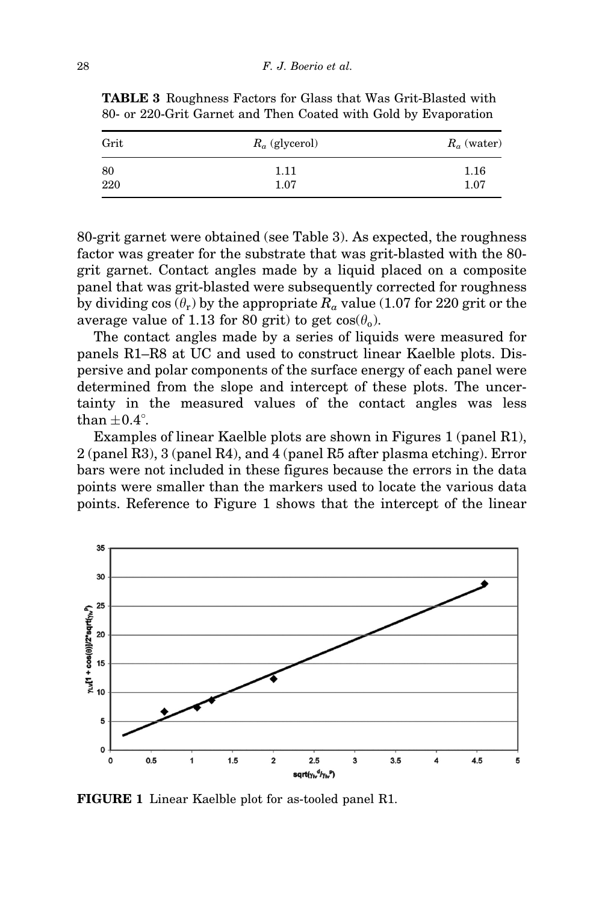| Grit | $R_a$ (glycerol) | $R_a$ (water) |
|------|------------------|---------------|
| 80   | 1.11             | 1.16          |
| 220  | $1.07\,$         | 1.07          |

TABLE 3 Roughness Factors for Glass that Was Grit-Blasted with 80- or 220-Grit Garnet and Then Coated with Gold by Evaporation

80-grit garnet were obtained (see Table 3). As expected, the roughness factor was greater for the substrate that was grit-blasted with the 80 grit garnet. Contact angles made by a liquid placed on a composite panel that was grit-blasted were subsequently corrected for roughness by dividing  $\cos (\theta_r)$  by the appropriate  $R_a$  value (1.07 for 220 grit or the average value of 1.13 for 80 grit) to get  $cos(\theta_0)$ .

The contact angles made by a series of liquids were measured for panels R1–R8 at UC and used to construct linear Kaelble plots. Dispersive and polar components of the surface energy of each panel were determined from the slope and intercept of these plots. The uncertainty in the measured values of the contact angles was less than  $\pm 0.4^{\circ}$ .

Examples of linear Kaelble plots are shown in Figures 1 (panel R1), 2 (panel R3), 3 (panel R4), and 4 (panel R5 after plasma etching). Error bars were not included in these figures because the errors in the data points were smaller than the markers used to locate the various data points. Reference to Figure 1 shows that the intercept of the linear



FIGURE 1 Linear Kaelble plot for as-tooled panel R1.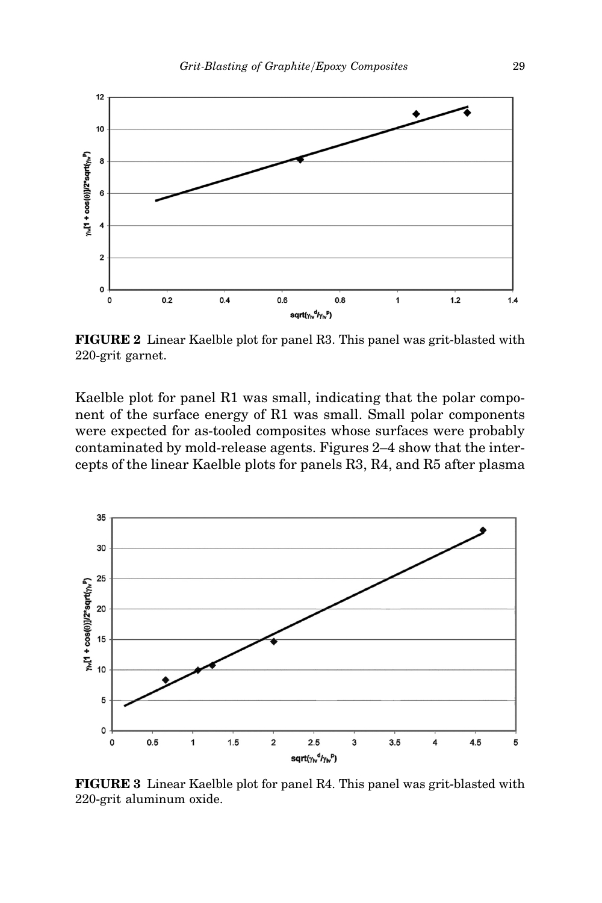

FIGURE 2 Linear Kaelble plot for panel R3. This panel was grit-blasted with 220-grit garnet.

Kaelble plot for panel R1 was small, indicating that the polar component of the surface energy of R1 was small. Small polar components were expected for as-tooled composites whose surfaces were probably contaminated by mold-release agents. Figures 2–4 show that the intercepts of the linear Kaelble plots for panels R3, R4, and R5 after plasma



FIGURE 3 Linear Kaelble plot for panel R4. This panel was grit-blasted with 220-grit aluminum oxide.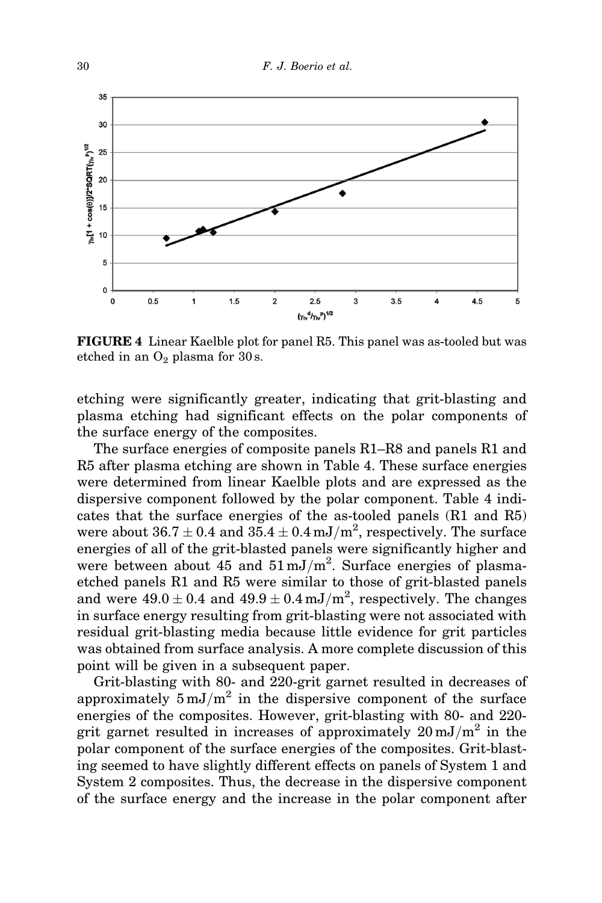

FIGURE 4 Linear Kaelble plot for panel R5. This panel was as-tooled but was etched in an  $O_2$  plasma for 30 s.

etching were significantly greater, indicating that grit-blasting and plasma etching had significant effects on the polar components of the surface energy of the composites.

The surface energies of composite panels R1–R8 and panels R1 and R5 after plasma etching are shown in Table 4. These surface energies were determined from linear Kaelble plots and are expressed as the dispersive component followed by the polar component. Table 4 indicates that the surface energies of the as-tooled panels (R1 and R5) were about 36.7  $\pm$  0.4 and 35.4  $\pm$  0.4 mJ/m<sup>2</sup>, respectively. The surface energies of all of the grit-blasted panels were significantly higher and were between about 45 and  $51 \text{ mJ/m}^2$ . Surface energies of plasmaetched panels R1 and R5 were similar to those of grit-blasted panels and were  $49.0 \pm 0.4$  and  $49.9 \pm 0.4$  mJ/m<sup>2</sup>, respectively. The changes in surface energy resulting from grit-blasting were not associated with residual grit-blasting media because little evidence for grit particles was obtained from surface analysis. A more complete discussion of this point will be given in a subsequent paper.

Grit-blasting with 80- and 220-grit garnet resulted in decreases of approximately  $5 \text{ mJ/m}^2$  in the dispersive component of the surface energies of the composites. However, grit-blasting with 80- and 220 grit garnet resulted in increases of approximately  $20 \text{ mJ/m}^2$  in the polar component of the surface energies of the composites. Grit-blasting seemed to have slightly different effects on panels of System 1 and System 2 composites. Thus, the decrease in the dispersive component of the surface energy and the increase in the polar component after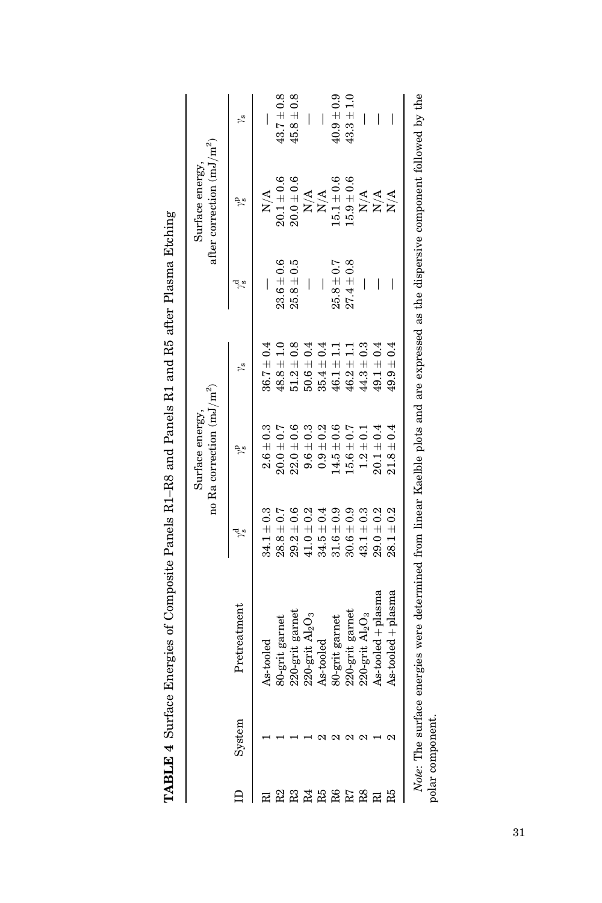|             |                  |                                                                                                                                    |                | no Ra<br>correction $\rm (mJ/m^2)$<br>Surface energy, |                |                          | after correction $\rm (mJ/m^2)$<br>Surface energy, |                |
|-------------|------------------|------------------------------------------------------------------------------------------------------------------------------------|----------------|-------------------------------------------------------|----------------|--------------------------|----------------------------------------------------|----------------|
|             | System           | Pretreatment                                                                                                                       |                |                                                       |                |                          |                                                    | $\frac{a}{b}$  |
|             |                  | As-tooled                                                                                                                          | $34.1 \pm 0.3$ | $2.6 \pm 0.3$                                         | $36.7 \pm 0.4$ |                          | $\mathbb{N}/\mathbb{A}$                            |                |
|             |                  | 80-grit garnet                                                                                                                     | $28.8 \pm 0.7$ | $20.0 \pm 0.7$                                        | $48.8 \pm 1.0$ | $23.6 \pm 0.6$           | $20.1 \pm 0.6$                                     | $43.7 \pm 0.8$ |
| R3          |                  | 220-grit garnet                                                                                                                    | $29.2 \pm 0.6$ | $22.0 \pm 0.6$                                        | $51.2 \pm 0.8$ | $25.8 \pm 0.5$           | $20.0 + 0.6$                                       | $45.8 \pm 0.8$ |
|             |                  | $220$ -grit $Al_2O_3$                                                                                                              | $41.0 \pm 0.2$ | $9.6 \pm 0.3$                                         | $50.6 \pm 0.4$ | $\overline{\phantom{a}}$ | N/A                                                | ۱              |
|             |                  | As-tooled                                                                                                                          | $34.5 \pm 0.4$ | $0.9 \pm 0.2$                                         | $35.4 \pm 0.4$ |                          | N/A                                                | I              |
|             |                  | 80-grit garnet                                                                                                                     | $31.6 \pm 0.9$ | $4.5 \pm 0.6$                                         | $46.1 \pm 1.1$ | $25.8 \pm 0.7$           | $15.1 \pm 0.6$                                     | $40.9\pm0.9$   |
|             |                  | 220-grit garnet                                                                                                                    | $30.6 \pm 0.9$ | $15.6 \pm 0.7$                                        | $46.2 \pm 1.1$ | $27.4 \pm 0.8$           | $15.9 \pm 0.6$                                     | $43.3 \pm 1.0$ |
| $_{\rm R8}$ |                  | $220$ -grit $Al_2O_3$                                                                                                              | $43.1 \pm 0.3$ | $1.2 \pm 0.1$                                         | $44.3 \pm 0.3$ |                          | N/A                                                | I              |
|             |                  | As-tooled + plasma                                                                                                                 | $29.0 + 0.2$   | $20.1 \pm 0.4$                                        | $49.1 \pm 0.4$ |                          | N/A                                                |                |
|             |                  | As-tooled + plasma                                                                                                                 | $28.1 \pm 0.2$ | $21.8 \pm 0.4$                                        | $49.9 \pm 0.4$ |                          | N/A                                                |                |
|             | polar component. | Note: The surface energies were determined from linear Kaelble plots and are expressed as the dispersive component followed by the |                |                                                       |                |                          |                                                    |                |
|             |                  |                                                                                                                                    |                |                                                       |                |                          |                                                    |                |

TABLE 4 Surface Energies of Composite Panels R1-R8 and Panels R1 and R5 after Plasma Etching TABLE 4 Surface Energies of Composite Panels R1–R8 and Panels R1 and R5 after Plasma Etching

31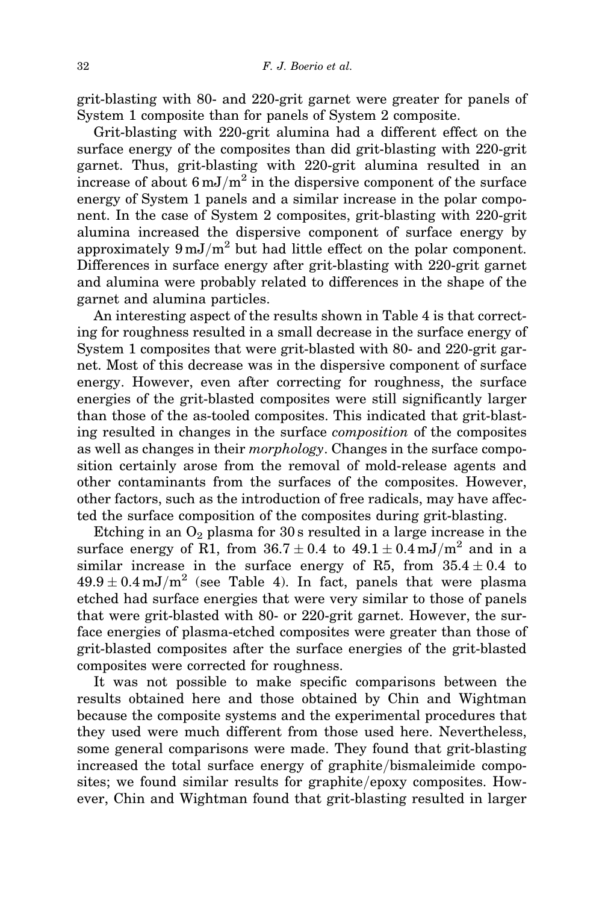grit-blasting with 80- and 220-grit garnet were greater for panels of System 1 composite than for panels of System 2 composite.

Grit-blasting with 220-grit alumina had a different effect on the surface energy of the composites than did grit-blasting with 220-grit garnet. Thus, grit-blasting with 220-grit alumina resulted in an increase of about  $6 \,\mathrm{mJ/m^2}$  in the dispersive component of the surface energy of System 1 panels and a similar increase in the polar component. In the case of System 2 composites, grit-blasting with 220-grit alumina increased the dispersive component of surface energy by approximately  $9 \text{ mJ/m}^2$  but had little effect on the polar component. Differences in surface energy after grit-blasting with 220-grit garnet and alumina were probably related to differences in the shape of the garnet and alumina particles.

An interesting aspect of the results shown in Table 4 is that correcting for roughness resulted in a small decrease in the surface energy of System 1 composites that were grit-blasted with 80- and 220-grit garnet. Most of this decrease was in the dispersive component of surface energy. However, even after correcting for roughness, the surface energies of the grit-blasted composites were still significantly larger than those of the as-tooled composites. This indicated that grit-blasting resulted in changes in the surface composition of the composites as well as changes in their morphology. Changes in the surface composition certainly arose from the removal of mold-release agents and other contaminants from the surfaces of the composites. However, other factors, such as the introduction of free radicals, may have affected the surface composition of the composites during grit-blasting.

Etching in an  $O_2$  plasma for 30 s resulted in a large increase in the surface energy of R1, from  $36.7 \pm 0.4$  to  $49.1 \pm 0.4$  mJ/m<sup>2</sup> and in a similar increase in the surface energy of R5, from  $35.4 \pm 0.4$  to  $49.9 \pm 0.4 \,\mathrm{mJ/m^2}$  (see Table 4). In fact, panels that were plasma etched had surface energies that were very similar to those of panels that were grit-blasted with 80- or 220-grit garnet. However, the surface energies of plasma-etched composites were greater than those of grit-blasted composites after the surface energies of the grit-blasted composites were corrected for roughness.

It was not possible to make specific comparisons between the results obtained here and those obtained by Chin and Wightman because the composite systems and the experimental procedures that they used were much different from those used here. Nevertheless, some general comparisons were made. They found that grit-blasting increased the total surface energy of graphite/bismaleimide composites; we found similar results for graphite/epoxy composites. However, Chin and Wightman found that grit-blasting resulted in larger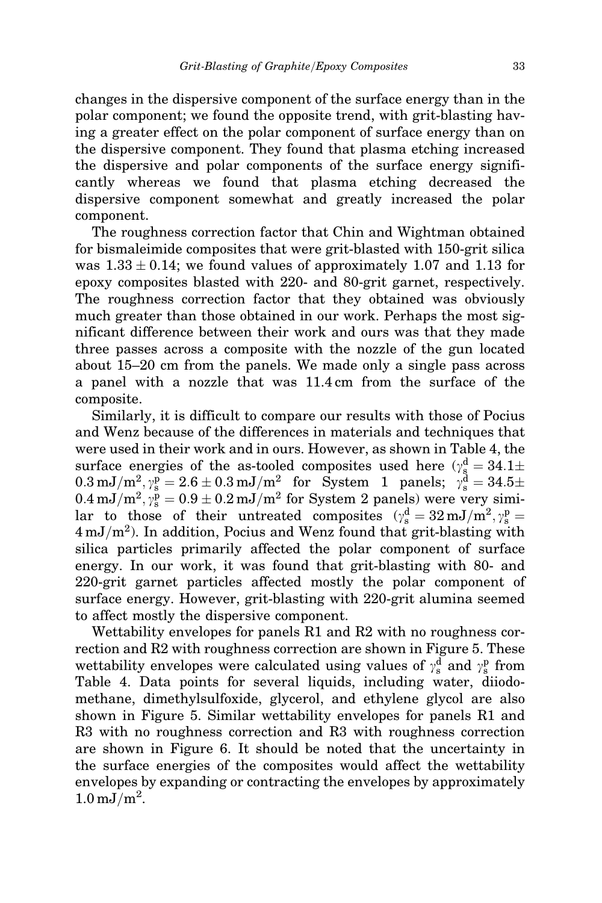changes in the dispersive component of the surface energy than in the polar component; we found the opposite trend, with grit-blasting having a greater effect on the polar component of surface energy than on the dispersive component. They found that plasma etching increased the dispersive and polar components of the surface energy significantly whereas we found that plasma etching decreased the dispersive component somewhat and greatly increased the polar component.

The roughness correction factor that Chin and Wightman obtained for bismaleimide composites that were grit-blasted with 150-grit silica was  $1.33 \pm 0.14$ ; we found values of approximately 1.07 and 1.13 for epoxy composites blasted with 220- and 80-grit garnet, respectively. The roughness correction factor that they obtained was obviously much greater than those obtained in our work. Perhaps the most significant difference between their work and ours was that they made three passes across a composite with the nozzle of the gun located about 15–20 cm from the panels. We made only a single pass across a panel with a nozzle that was 11.4 cm from the surface of the composite.

Similarly, it is difficult to compare our results with those of Pocius and Wenz because of the differences in materials and techniques that were used in their work and in ours. However, as shown in Table 4, the surface energies of the as-tooled composites used here  $(\gamma_{\rm s}^{\rm d} = 34.1 \pm$  $0.3 \,\text{mJ/m}^2$ ,  $\gamma_s^p = 2.6 \pm 0.3 \,\text{mJ/m}^2$  for System 1 panels;  $\gamma_s^d = 34.5 \pm 0.4 \,\text{mJ/m}^2$ ,  $\gamma_s^p = 0.9 \pm 0.2 \,\text{mJ/m}^2$  for System 2 panels) were very similar to those of their untreated composites  $(\gamma_s^d = 32 \,\text{mJ/m}^2, \gamma_s^p =$  $4 \,\mathrm{mJ/m^2}$ ). In addition, Pocius and Wenz found that grit-blasting with silica particles primarily affected the polar component of surface energy. In our work, it was found that grit-blasting with 80- and 220-grit garnet particles affected mostly the polar component of surface energy. However, grit-blasting with 220-grit alumina seemed to affect mostly the dispersive component.

Wettability envelopes for panels R1 and R2 with no roughness correction and R2 with roughness correction are shown in Figure 5. These wettability envelopes were calculated using values of  $\gamma_{\rm s}^{\rm d}$  and  $\gamma_{\rm s}^{\rm p}$  from Table 4. Data points for several liquids, including water, diiodomethane, dimethylsulfoxide, glycerol, and ethylene glycol are also shown in Figure 5. Similar wettability envelopes for panels R1 and R3 with no roughness correction and R3 with roughness correction are shown in Figure 6. It should be noted that the uncertainty in the surface energies of the composites would affect the wettability envelopes by expanding or contracting the envelopes by approximately  $1.0 \,\mathrm{mJ/m^2}$ .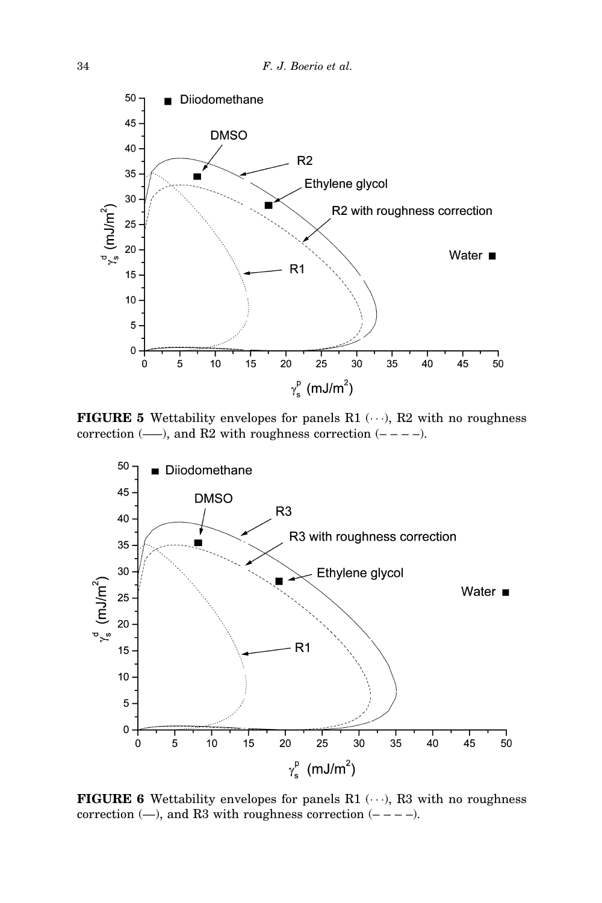

**FIGURE 5** Wettability envelopes for panels R1  $(\cdot \cdot \cdot)$ , R2 with no roughness correction  $(--)$ , and R2 with roughness correction  $(- - -)$ .



FIGURE 6 Wettability envelopes for panels R1  $(\cdot\cdot\cdot)$ , R3 with no roughness correction  $(-)$ , and R3 with roughness correction  $(- - -)$ .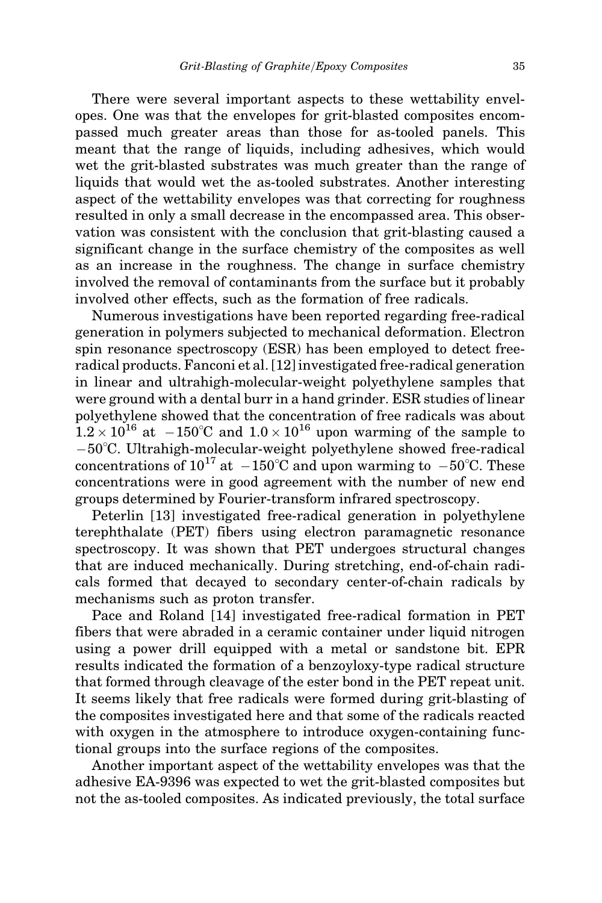There were several important aspects to these wettability envelopes. One was that the envelopes for grit-blasted composites encompassed much greater areas than those for as-tooled panels. This meant that the range of liquids, including adhesives, which would wet the grit-blasted substrates was much greater than the range of liquids that would wet the as-tooled substrates. Another interesting aspect of the wettability envelopes was that correcting for roughness resulted in only a small decrease in the encompassed area. This observation was consistent with the conclusion that grit-blasting caused a significant change in the surface chemistry of the composites as well as an increase in the roughness. The change in surface chemistry involved the removal of contaminants from the surface but it probably involved other effects, such as the formation of free radicals.

Numerous investigations have been reported regarding free-radical generation in polymers subjected to mechanical deformation. Electron spin resonance spectroscopy (ESR) has been employed to detect freeradical products. Fanconi et al. [12] investigated free-radical generation in linear and ultrahigh-molecular-weight polyethylene samples that were ground with a dental burr in a hand grinder. ESR studies of linear polyethylene showed that the concentration of free radicals was about  $1.2 \times 10^{16}$  at  $-150^{\circ}$ C and  $1.0 \times 10^{16}$  upon warming of the sample to 50 C. Ultrahigh-molecular-weight polyethylene showed free-radical concentrations of  $10^{17}$  at  $-150^{\circ}$ C and upon warming to  $-50^{\circ}$ C. These concentrations were in good agreement with the number of new end groups determined by Fourier-transform infrared spectroscopy.

Peterlin [13] investigated free-radical generation in polyethylene terephthalate (PET) fibers using electron paramagnetic resonance spectroscopy. It was shown that PET undergoes structural changes that are induced mechanically. During stretching, end-of-chain radicals formed that decayed to secondary center-of-chain radicals by mechanisms such as proton transfer.

Pace and Roland [14] investigated free-radical formation in PET fibers that were abraded in a ceramic container under liquid nitrogen using a power drill equipped with a metal or sandstone bit. EPR results indicated the formation of a benzoyloxy-type radical structure that formed through cleavage of the ester bond in the PET repeat unit. It seems likely that free radicals were formed during grit-blasting of the composites investigated here and that some of the radicals reacted with oxygen in the atmosphere to introduce oxygen-containing functional groups into the surface regions of the composites.

Another important aspect of the wettability envelopes was that the adhesive EA-9396 was expected to wet the grit-blasted composites but not the as-tooled composites. As indicated previously, the total surface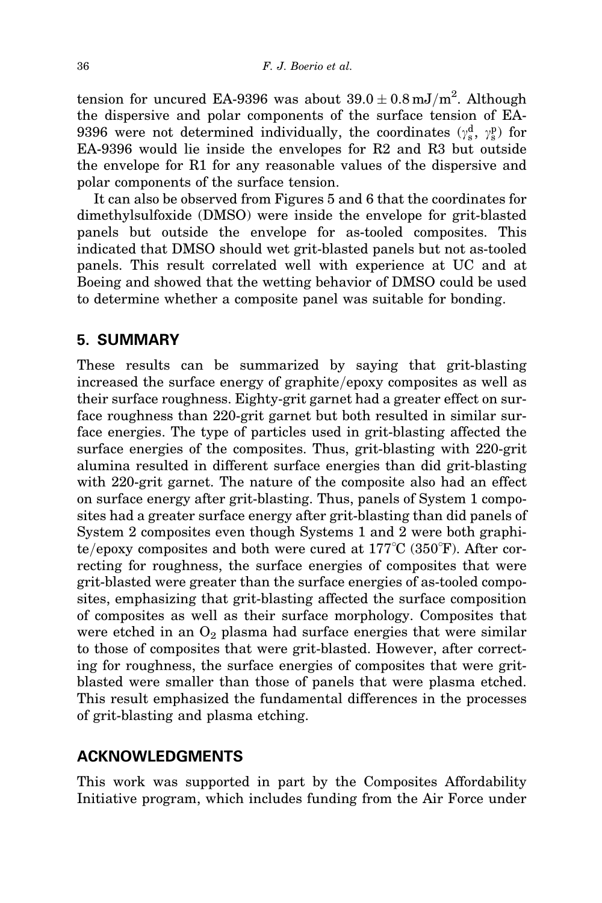tension for uncured EA-9396 was about  $39.0 \pm 0.8 \,\mathrm{mJ/m^2}$ . Although the dispersive and polar components of the surface tension of EA-9396 were not determined individually, the coordinates  $(\gamma_{\rm s}^{\rm d}, \gamma_{\rm s}^{\rm p})$  for EA-9396 would lie inside the envelopes for R2 and R3 but outside the envelope for R1 for any reasonable values of the dispersive and polar components of the surface tension.

It can also be observed from Figures 5 and 6 that the coordinates for dimethylsulfoxide (DMSO) were inside the envelope for grit-blasted panels but outside the envelope for as-tooled composites. This indicated that DMSO should wet grit-blasted panels but not as-tooled panels. This result correlated well with experience at UC and at Boeing and showed that the wetting behavior of DMSO could be used to determine whether a composite panel was suitable for bonding.

## 5. SUMMARY

These results can be summarized by saying that grit-blasting increased the surface energy of graphite/epoxy composites as well as their surface roughness. Eighty-grit garnet had a greater effect on surface roughness than 220-grit garnet but both resulted in similar surface energies. The type of particles used in grit-blasting affected the surface energies of the composites. Thus, grit-blasting with 220-grit alumina resulted in different surface energies than did grit-blasting with 220-grit garnet. The nature of the composite also had an effect on surface energy after grit-blasting. Thus, panels of System 1 composites had a greater surface energy after grit-blasting than did panels of System 2 composites even though Systems 1 and 2 were both graphite/epoxy composites and both were cured at 177°C (350°F). After correcting for roughness, the surface energies of composites that were grit-blasted were greater than the surface energies of as-tooled composites, emphasizing that grit-blasting affected the surface composition of composites as well as their surface morphology. Composites that were etched in an  $O_2$  plasma had surface energies that were similar to those of composites that were grit-blasted. However, after correcting for roughness, the surface energies of composites that were gritblasted were smaller than those of panels that were plasma etched. This result emphasized the fundamental differences in the processes of grit-blasting and plasma etching.

## ACKNOWLEDGMENTS

This work was supported in part by the Composites Affordability Initiative program, which includes funding from the Air Force under